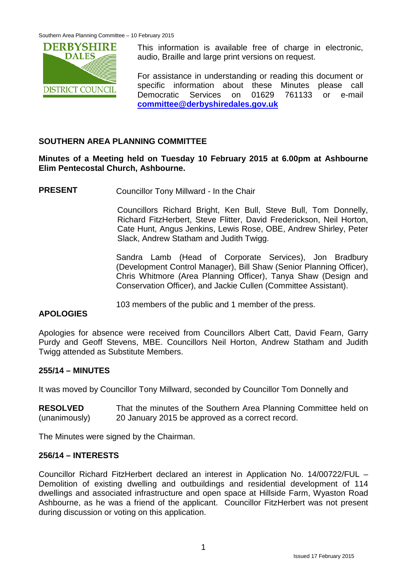

This information is available free of charge in electronic, audio, Braille and large print versions on request.

For assistance in understanding or reading this document or specific information about these Minutes please call Democratic Services on 01629 761133 or e-mail **[committee@derbyshiredales.gov.uk](mailto:committee@derbyshiredales.gov.uk)**

# **SOUTHERN AREA PLANNING COMMITTEE**

**Minutes of a Meeting held on Tuesday 10 February 2015 at 6.00pm at Ashbourne Elim Pentecostal Church, Ashbourne.**

**PRESENT** Councillor Tony Millward - In the Chair

Councillors Richard Bright, Ken Bull, Steve Bull, Tom Donnelly, Richard FitzHerbert, Steve Flitter, David Frederickson, Neil Horton, Cate Hunt, Angus Jenkins, Lewis Rose, OBE, Andrew Shirley, Peter Slack, Andrew Statham and Judith Twigg.

Sandra Lamb (Head of Corporate Services), Jon Bradbury (Development Control Manager), Bill Shaw (Senior Planning Officer), Chris Whitmore (Area Planning Officer), Tanya Shaw (Design and Conservation Officer), and Jackie Cullen (Committee Assistant).

103 members of the public and 1 member of the press.

## **APOLOGIES**

Apologies for absence were received from Councillors Albert Catt, David Fearn, Garry Purdy and Geoff Stevens, MBE. Councillors Neil Horton, Andrew Statham and Judith Twigg attended as Substitute Members.

## **255/14 – MINUTES**

It was moved by Councillor Tony Millward, seconded by Councillor Tom Donnelly and

**RESOLVED** (unanimously) That the minutes of the Southern Area Planning Committee held on 20 January 2015 be approved as a correct record.

The Minutes were signed by the Chairman.

#### **256/14 – INTERESTS**

Councillor Richard FitzHerbert declared an interest in Application No. 14/00722/FUL – Demolition of existing dwelling and outbuildings and residential development of 114 dwellings and associated infrastructure and open space at Hillside Farm, Wyaston Road Ashbourne, as he was a friend of the applicant. Councillor FitzHerbert was not present during discussion or voting on this application.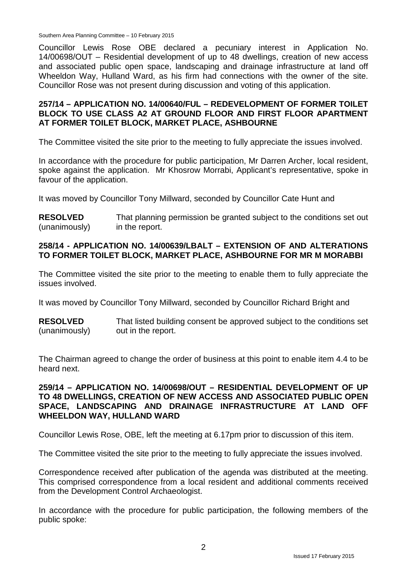Southern Area Planning Committee – 10 February 2015

Councillor Lewis Rose OBE declared a pecuniary interest in Application No. 14/00698/OUT – Residential development of up to 48 dwellings, creation of new access and associated public open space, landscaping and drainage infrastructure at land off Wheeldon Way, Hulland Ward, as his firm had connections with the owner of the site. Councillor Rose was not present during discussion and voting of this application.

## **257/14 – APPLICATION NO. 14/00640/FUL – REDEVELOPMENT OF FORMER TOILET BLOCK TO USE CLASS A2 AT GROUND FLOOR AND FIRST FLOOR APARTMENT AT FORMER TOILET BLOCK, MARKET PLACE, ASHBOURNE**

The Committee visited the site prior to the meeting to fully appreciate the issues involved.

In accordance with the procedure for public participation, Mr Darren Archer, local resident, spoke against the application. Mr Khosrow Morrabi, Applicant's representative, spoke in favour of the application.

It was moved by Councillor Tony Millward, seconded by Councillor Cate Hunt and

**RESOLVED** (unanimously) That planning permission be granted subject to the conditions set out in the report.

## **258/14 - APPLICATION NO. 14/00639/LBALT – EXTENSION OF AND ALTERATIONS TO FORMER TOILET BLOCK, MARKET PLACE, ASHBOURNE FOR MR M MORABBI**

The Committee visited the site prior to the meeting to enable them to fully appreciate the issues involved.

It was moved by Councillor Tony Millward, seconded by Councillor Richard Bright and

**RESOLVED** (unanimously) That listed building consent be approved subject to the conditions set out in the report.

The Chairman agreed to change the order of business at this point to enable item 4.4 to be heard next.

## **259/14 – APPLICATION NO. 14/00698/OUT – RESIDENTIAL DEVELOPMENT OF UP TO 48 DWELLINGS, CREATION OF NEW ACCESS AND ASSOCIATED PUBLIC OPEN SPACE, LANDSCAPING AND DRAINAGE INFRASTRUCTURE AT LAND OFF WHEELDON WAY, HULLAND WARD**

Councillor Lewis Rose, OBE, left the meeting at 6.17pm prior to discussion of this item.

The Committee visited the site prior to the meeting to fully appreciate the issues involved.

Correspondence received after publication of the agenda was distributed at the meeting. This comprised correspondence from a local resident and additional comments received from the Development Control Archaeologist.

In accordance with the procedure for public participation, the following members of the public spoke: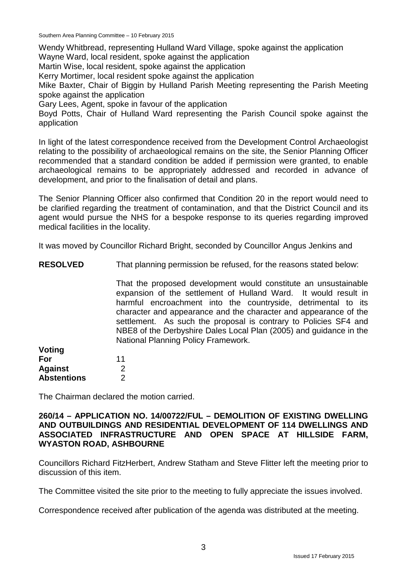Southern Area Planning Committee – 10 February 2015

Wendy Whitbread, representing Hulland Ward Village, spoke against the application

Wayne Ward, local resident, spoke against the application

Martin Wise, local resident, spoke against the application

Kerry Mortimer, local resident spoke against the application

Mike Baxter, Chair of Biggin by Hulland Parish Meeting representing the Parish Meeting spoke against the application

Gary Lees, Agent, spoke in favour of the application

Boyd Potts, Chair of Hulland Ward representing the Parish Council spoke against the application

In light of the latest correspondence received from the Development Control Archaeologist relating to the possibility of archaeological remains on the site, the Senior Planning Officer recommended that a standard condition be added if permission were granted, to enable archaeological remains to be appropriately addressed and recorded in advance of development, and prior to the finalisation of detail and plans.

The Senior Planning Officer also confirmed that Condition 20 in the report would need to be clarified regarding the treatment of contamination, and that the District Council and its agent would pursue the NHS for a bespoke response to its queries regarding improved medical facilities in the locality.

It was moved by Councillor Richard Bright, seconded by Councillor Angus Jenkins and

**RESOLVED** That planning permission be refused, for the reasons stated below:

> That the proposed development would constitute an unsustainable expansion of the settlement of Hulland Ward. It would result in harmful encroachment into the countryside, detrimental to its character and appearance and the character and appearance of the settlement. As such the proposal is contrary to Policies SF4 and NBE8 of the Derbyshire Dales Local Plan (2005) and guidance in the National Planning Policy Framework.

| Voting             |    |
|--------------------|----|
| For                | 11 |
| <b>Against</b>     | 2  |
| <b>Abstentions</b> | 2  |

The Chairman declared the motion carried.

#### **260/14 – APPLICATION NO. 14/00722/FUL – DEMOLITION OF EXISTING DWELLING AND OUTBUILDINGS AND RESIDENTIAL DEVELOPMENT OF 114 DWELLINGS AND ASSOCIATED INFRASTRUCTURE AND OPEN SPACE AT HILLSIDE FARM, WYASTON ROAD, ASHBOURNE**

Councillors Richard FitzHerbert, Andrew Statham and Steve Flitter left the meeting prior to discussion of this item.

The Committee visited the site prior to the meeting to fully appreciate the issues involved.

Correspondence received after publication of the agenda was distributed at the meeting.